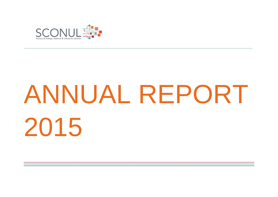

# ANNUAL REPORT 2015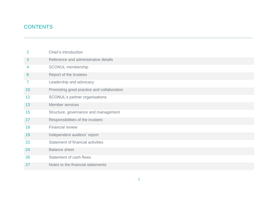# **CONTENTS**

| 2               | Chair's introduction                      |
|-----------------|-------------------------------------------|
| 3               | Reference and administrative details      |
| 4               | <b>SCONUL membership</b>                  |
| 6               | Report of the trustees                    |
| 7               | Leadership and advocacy                   |
| 10 <sup>°</sup> | Promoting good practice and collaboration |
| 12              | SCONUL's partner organisations            |
| 13              | Member services                           |
| 15              | Structure, governance and management      |
| 17              | Responsibilities of the trustees          |
| 18              | <b>Financial review</b>                   |
| 19              | Independent auditors' report              |
| 22              | Statement of financial activities         |
| 24              | <b>Balance sheet</b>                      |
| 26              | Statement of cash flows                   |
| 27              | Notes to the financial statements         |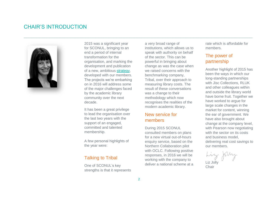# CHAIR'S INTRODUCTION



2015 was a significant year for SCONUL, bringing to an end a period of internal transformation for the organisation, and marking the development and publication of a new, ambitious [strategy,](http://www.sconul.ac.uk/sites/default/files/documents/Collaborating%20for%20Change%20-%20SCONUL%20strategy%202016-19_0.pdf) developed with our members. The projects we're embarking on in 2016 will address some of the major challenges faced by the academic library community over the next decade.

It has been a great privilege to lead the organisation over the last two years with the support of an engaged, committed and talented membership.

A few personal highlights of the year were:

## Talking to Tribal

One of SCONUL's key strengths is that it represents a very broad range of institutions, which allows us to speak with authority on behalf of the sector. This can be powerful in bringing about change as was the case when we raised concerns with the benchmarking company, Tribal, over their approach to measuring library costs. The result of these conversations was a change to their methodology which now recognises the realities of the modern academic library.

## New service for members

During 2015 SCONUL consulted members on plans for a new virtual out-of-hours enquiry service, based on the Northern Collaboration pilot with OCLC. Following positive responses, in 2016 we will be working with the company to deliver a national scheme at a

rate which is affordable for members.

## The power of partnership

Another highlight of 2015 has been the ways in which our long-standing partnerships with Jisc Collections, RLUK and other colleagues within and outside the library world have borne fruit. Together we have worked to argue for large scale changes in the market for content, winning the ear of government. We have also brought about change at the company level, with Pearson now negotiating with the sector on its costs and business model, delivering real cost savings to our members.

Liz Jolly

**Chair**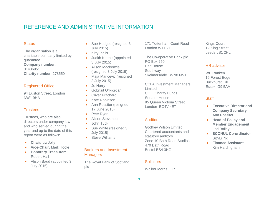# REFERENCE AND ADMINISTRATIVE INFORMATION

#### **Status**

The organisation is a charitable company limited by guarantee. **Company number**: 01436951 **Charity number**: 278550

#### Registered Office

94 Euston Street, London NW1 9HA

#### **Trustees**

Trustees, who are also directors under company law and who served during the year and up to the date of this report were as follows:

- **Chair:** Liz Jolly
- **Vice-Chair:** Mark Toole
- **Honorary Treasurer:**  Robert Hall
- Alison Baud (appointed 3 July 2015)
- Sue Hodges (resigned 3 July 2015)
- Kitty Inglis
- Judith Keene (appointed 3 July 2015)
- Alison Mackenzie (resigned 3 July 2015)
- Maja Maricevic (resigned 3 July 2015)
- Jo Norry
- Gobnait O'Riordan
- Oliver Pritchard
- Kate Robinson
- **•** Ann Rossiter (resigned 17 June 2015)
- Pete Ryan
- Alison Stevenson
- John Tuck
- Sue White (resigned 3 July 2015)
- Steve Williams

#### Bankers and Investment **Managers**

The Royal Bank of Scotland plc

171 Tottenham Court Road London W1T 7DL

The Co-operative Bank plc PO Box 250 Delf House Southway Skelmersdale WN8 6WT

CCLA Investment Managers Limited COIF Charity Funds Senator House 85 Queen Victoria Street London EC4V 4ET

#### **Auditors**

Godfrey Wilson Limited Chartered accountants and statutory auditors Zone 10 Bath Road Studios 470 Bath Road Bristol BS4 3HG

#### **Solicitors**

Walker Morris LLP

Kings Court 12 King Street Leeds LS1 2HL

#### HR advisor

WB Ranken 16 Forest Edge Buckhurst Hill Essex IG9 5AA

#### **Staff**

- **Executive Director and Company Secretary** Ann Rossiter
- **Head of Policy and Member Engagement** Lori Bailey
- **SCONUL Co-ordinator** SitMui Ng
- **Finance Assistant** Kim Hardingham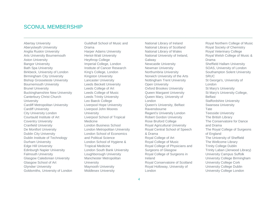## SCONUL MEMBERSHIP

Abertay University Aberystwyth University Anglia Ruskin University Arts University Bournemouth Aston University Bangor University Bath Spa University Birkbeck, University of London Birmingham City University Bishop Grosseteste University Bournemouth University Brunel University Buckinghamshire New University Canterbury Christ Church **University** Cardiff Metropolitan University Cardiff University City University London Courtauld Institute of Art Coventry University Cranfield University De Montfort University Dublin City University Dublin Institute of Technology Durham University Edge Hill University Edinburgh Napier University Falmouth University Glasgow Caledonian University Glasgow School of Art Glyndwr University Goldsmiths, University of London

Guildhall School of Music and Drama Harper Adams University Heriot-Watt University Heythrop College Imperial College, London Institute of Cancer Research King's College, London Kingston University Lancaster University Leeds Beckett University Leeds College of Art Leeds College of Music Leeds Trinity University Leo Baeck College Liverpool Hope University Liverpool John Moores **University** Liverpool School of Tropical Medicine London Business School London Metropolitan University London School of Economics and Political Science London School of Hygiene & Tropical Medicine London South Bank University Loughborough University Manchester Metropolitan **University** Maynooth University Middlesex University

National Library of Ireland National Library of Scotland National Library of Wales National University of Ireland, Galway Newcastle University Newman University Northumbria University Norwich University of the Arts Nottingham Trent University Open University Oxford Brookes University Queen Margaret University Queen Mary, University of London Queen's University, Belfast Ravensbourne Regent's University London Robert Gordon University Rose Bruford College Royal Agricultural University Royal Central School of Speech & Drama Royal College of Art Royal College of Music Royal College of Physicians and Surgeons of Glasgow Royal College of Surgeons in Ireland Royal Conservatoire of Scotland Royal Holloway, University of London

Royal Northern College of Music Royal Society of Chemistry Royal Veterinary College Royal Welsh College of Music & Drama Sheffield Hallam University SOAS, University of London Southampton Solent University **SRUC** St George's, University of London St Mary's University St Mary's University College, Belfast Staffordshire University Swansea University **Tate** Teesside University The British Library The Conservatoire for Dance and Drama The Royal College of Surgeons of England The University of Sheffield The Wellcome Library Trinity College Dublin Trinity Laban (Jerwood Library) University Campus Suffolk University College Birmingham University College Cork University College Dublin University College London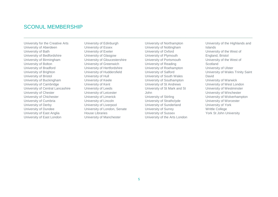# SCONUL MEMBERSHIP

University for the Creative Arts University of Aberdeen University of Bath University of Bedfordshire University of Birmingham University of Bolton University of Bradford University of Brighton University of Bristol University of Buckingham University of Cambridge University of Central Lancashire University of Chester University of Chichester University of Cumbria University of Derby University of Dundee University of East Anglia University of East London

University of Edinburgh University of Essex University of Exeter University of Glasgow University of Gloucestershire University of Greenwich University of Hertfordshire University of Huddersfield University of Hull University of Keele University of Kent University of Leeds University of Leicester University of Limerick University of Lincoln University of Liverpool University of London, Senate House Libraries University of Manchester

University of Northampton University of Nottingham University of Oxford University of Plymouth University of Portsmouth University of Reading University of Roehampton University of Salford University of South Wales University of Southampton University of St Andrews University of St Mark and St John University of Stirling University of Strathclyde University of Sunderland University of Surrey University of Sussex University of the Arts London University of the Highlands and Islands University of the West of England, Bristol University of the West of **Scotland** University of Ulster University of Wales Trinity Saint David University of Warwick University of West London University of Westminster University of Winchester University of Wolverhampton University of Worcester University of York Writtle College York St John University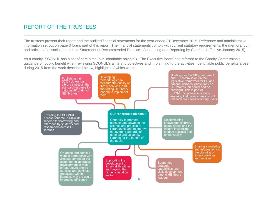# REPORT OF THE TRUSTEES

The trustees present their report and the audited financial statements for the year ended 31 December 2015. Reference and administrative information set out on page 3 forms part of this report. The financial statements comply with current statutory requirements, the memorandum and articles of association and the Statement of Recommended Practice - Accounting and Reporting by Charities (effective January 2015).

\_\_\_\_\_\_\_\_\_\_\_\_\_\_\_\_\_\_\_\_\_\_\_\_\_\_\_\_\_\_\_\_\_\_\_\_\_\_\_\_\_\_\_\_\_\_\_\_\_\_\_\_\_\_\_\_\_\_\_\_\_\_\_\_\_\_\_\_\_\_\_\_\_\_\_\_\_\_\_\_\_\_\_\_\_\_\_\_\_

As a charity, SCONUL has a set of core aims (our "charitable objects"). The Executive Board has referred to the Charity Commission's guidance on public benefit when reviewing SCONUL's aims and objectives and in planning future activities. Identifiable public benefits arose during 2015 from the work described below, highlights of which were:

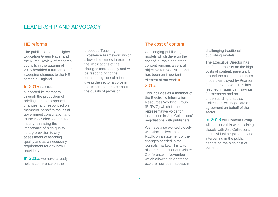# LEADERSHIP AND ADVOCACY

## HE reforms

The publication of the Higher Education Green Paper and the Nurse Review of research councils in the autumn of 2015 heralded a further set of sweeping changes to the HE sector in England.

#### In 2015 SCONUL

supported its members through the production of briefings on the proposed changes, and responded on members' behalf to the initial government consultation and to the BIS Select Committee inquiry, stressing the importance of high quality library provision to any assessment of teaching quality and as a necessary requirement for any new HE providers.

In 2016, we have already held a conference on the

proposed Teaching Excellence Framework which allowed members to explore the implications of the changes more deeply and will be responding to the forthcoming consultations, giving the sector a voice in the important debate about the quality of provision.

## The cost of content

\_\_\_\_\_\_\_\_\_\_\_\_\_\_\_\_\_\_\_\_\_\_\_\_\_\_\_\_\_\_\_\_\_\_\_\_\_\_\_\_\_\_\_\_\_\_\_\_\_\_\_\_\_\_\_\_\_\_\_\_\_\_\_\_\_\_\_\_\_\_\_\_\_\_\_\_\_\_\_\_\_\_\_\_\_\_\_\_\_

Challenging publishing models which drive up the cost of journals and other content remains a central objective for SCONUL, and has been an important element of our work in 2015.

This includes as a member of the Electronic Information Resources Working Group (EIRWG) which is the representative voice for institutions in Jisc Collections' negotiations with publishers.

We have also worked closely with Jisc Collections and RLUK on a statement of the changes needed in the journals market. This was also the subject of our Winter Conference in November which allowed delegates to explore how open access is

challenging traditional publishing models.

The Executive Director has briefed journalists on the high costs of content, particularly around the cost and business models employed by Pearson for its e-textbooks. This has resulted in significant savings for members and an understanding that Jisc Collections will negotiate an agreement on behalf of the sector.

In 2016 our Content Group will continue this work, liaising closely with Jisc Collections on individual negotiations and intervening in the public debate on the high cost of content.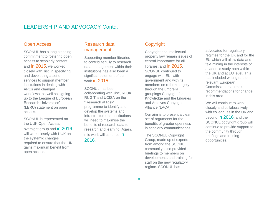# LEADERSHIP AND ADVOCACY Contd.

#### Open Access

SCONUL has a long standing commitment to fostering open access to scholarly content, and in 2015, we worked closely with Jisc in specifying and developing a set of services to support member institutions in dealing with APCs and changed workflows, as well as signing up to the League of European Research Universities' (LERU) statement on open access.

SCONUL is represented on the UUK Open Access oversight group and in 2016 will work closely with UUK on the systemic changes required to ensure that the UK gains maximum benefit from open access.

## Research data management

Supporting member libraries to contribute fully to research data management within their institutions has also been a significant element of our work in 2015.

SCONUL has been collaborating with Jisc, RLUK, RUGIT and UCISA on the "Research at Risk" programme to identify and develop the systems and infrastructure that institutions will need to maximise the benefits of research data to research and learning. Again, this work will continue in 2016.

## **Copyright**

\_\_\_\_\_\_\_\_\_\_\_\_\_\_\_\_\_\_\_\_\_\_\_\_\_\_\_\_\_\_\_\_\_\_\_\_\_\_\_\_\_\_\_\_\_\_\_\_\_\_\_\_\_\_\_\_\_\_\_\_\_\_\_\_\_\_\_\_\_\_\_\_\_\_\_\_\_\_\_\_\_\_\_\_\_\_\_\_\_

Copyright and intellectual property law remain issues of central importance for all libraries, and in 2015, SCONUL continued to engage with EU, with government and with its members on reform, largely through the umbrella groupings Copyright for Knowledge and the Libraries and Archives Copyright Alliance (LACA).

Our aim is to present a clear set of arguments for the benefits of greater openness in scholarly communications.

The SCONUL Copyright Group, made up of experts from among the SCONUL community, also provided briefings to members on developments and training for staff on the new regulatory regime. SCONUL has

advocated for regulatory regimes for the UK and for the EU which will allow data and text mining in the interests of academic study both within the UK and at EU level. This has included writing to the relevant European Commissioners to make recommendations for change in this area.

We will continue to work closely and collaboratively with colleagues in the UK and beyond in 2016, and the SCONUL copyright group will continue to provide support to the community through briefings and training opportunities.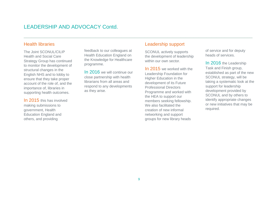# LEADERSHIP AND ADVOCACY Contd.

## Health libraries

The Joint SCONUL/CILIP Health and Social Care Strategy Group has continued to monitor the development of structural changes in the English NHS and to lobby to ensure that they take proper account of the role of, and the importance of, libraries in supporting health outcomes.

In 2015 this has involved making submissions to government, Health Education England and others, and providing

feedback to our colleagues at Health Education England on the Knowledge for Healthcare programme.

In 2016 we will continue our close partnership with health librarians from all areas and respond to any developments as they arise.

## Leadership support

\_\_\_\_\_\_\_\_\_\_\_\_\_\_\_\_\_\_\_\_\_\_\_\_\_\_\_\_\_\_\_\_\_\_\_\_\_\_\_\_\_\_\_\_\_\_\_\_\_\_\_\_\_\_\_\_\_\_\_\_\_\_\_\_\_\_\_\_\_\_\_\_\_\_\_\_\_\_\_\_\_\_\_\_\_\_\_\_\_

SCONUL actively supports the development of leadership within our own sector.

In 2015 we worked with the Leadership Foundation for Higher Education in the development of its Future Professional Directors Programme and worked with the HEA to support our members seeking fellowship. We also facilitated the creation of new informal networking and support groups for new library heads

of service and for deputy heads of services.

In 2016 the Leadership Task and Finish group, established as part of the new SCONUL strategy, will be taking a systematic look at the support for leadership development provided by SCONUL and by others to identify appropriate changes or new initiatives that may be required.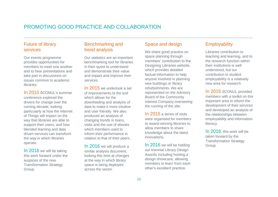# PROMOTING GOOD PRACTICE AND COLLABORATION

## Future of library services

Our events programme provides opportunities for members to meet one another and to hear presentations and take part in discussions on issues common to academic libraries.

In 2015 SCONUL's summer conference explored the drivers for change over the coming decade, looking particularly at how the Internet of Things will impact on the way that libraries are able to support their users, and how blended learning and data driven services can transform the way in which libraries operate.

In 2016 we will be taking this work forward under the auspices of the new Transformation Strategy Group.

## Benchmarking and trend analysis

Our statistics are an important benchmarking tool for libraries in their quest to understand and demonstrate their value and impact and improve their services.

In 2015 we undertook a set of improvements to the tool which allows for the downloading and analysis of data to make it more intuitive and user friendly. We also produced an analysis of changing trends in loans, visits and the use of ebooks which members used to inform their performance in relation to that of their peers.

In 2016 we will produce a similar analysis document, looking this time at changes at the way in which library space is being deployed across the sector.

## Space and design

\_\_\_\_\_\_\_\_\_\_\_\_\_\_\_\_\_\_\_\_\_\_\_\_\_\_\_\_\_\_\_\_\_\_\_\_\_\_\_\_\_\_\_\_\_\_\_\_\_\_\_\_\_\_\_\_\_\_\_\_\_\_\_\_\_\_\_\_\_\_\_\_\_\_\_\_\_\_\_\_\_\_\_\_\_\_\_\_\_

We share good practice on space planning through members' contribution to the Designing Libraries website. which provides detailed factual information to help anyone involved in planning new buildings or library refurbishments. We are represented on the Advisory Board of the Community Interest Company overseeing the running of the site.

In 2015 a series of visits were organised for members to award-winning libraries to allow members to share knowledge about the latest innovations.

In 2016 we will be holding our triennial Library Design Awards including hosting a design showcase, allowing members to learn from each other's excellent practice.

## **Employability**

Libraries contribution to teaching and learning, and to the research function within their institutions is well understood, but our contribution to student employability is a relatively new area for research.

In 2015 SCONUL provided members with a toolkit on this important area to inform the development of their services and developed an analysis of the relationships between employability and information literacy.

In 2016, this work will be taken forward by the Transformation Strategy Group.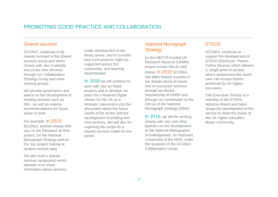# PROMOTING GOOD PRACTICE AND COLLABORATION

## Shared services

SCONUL continues to be heavily involved in the shared services arena and works closely with Jisc to identify and scope new services through our Collaboration Strategy Group and other working groups.

We provide governance and advice on the development of existing services such as KB+, as well as making recommendations for future areas of work.

For example, in 2015,

SCONUL worked closely with Jisc on the Research at Risk project, on the National Monograph Strategy and on the Jisc project looking at student records data.

We also held a shared services symposium which allowed us to share information about services

under development in the library arena, and to consider how such projects might be supported across the community, and learning disseminated.

In 2016 we will continue to work with Jisc on these projects and to develop our plans for a National Digital Library for the UK as a strategic intervention into the discussion about the future needs of the sector and the development of existing and new services. We will also be exploring the scope for a shared services toolkit for the sector.

## National Monograph **Strategy**

\_\_\_\_\_\_\_\_\_\_\_\_\_\_\_\_\_\_\_\_\_\_\_\_\_\_\_\_\_\_\_\_\_\_\_\_\_\_\_\_\_\_\_\_\_\_\_\_\_\_\_\_\_\_\_\_\_\_\_\_\_\_\_\_\_\_\_\_\_\_\_\_\_\_\_\_\_\_\_\_\_\_\_\_\_\_\_\_\_

As the HEFCE-funded UK Research Reserve (UKRR) project moves into its next phase, in 2015 SCONUL has been heavily involved in the debate about its future and of successor services through our Board membership of UKRR and through our contribution to the roll out of the National Monograph Strategy (NMS).

In 2016, we will be working closely with Jisc and other partners on the development of the National Bibliographic Knowledgebase, an important component of the NMS, under the auspices of the SCONUL Collaboration Group.

## **EThOS**

SCONUL continues to support the development of EThOS (Electronic Theses Online Service) which delivers a 'single point of access' where researchers the world over can access theses produced by UK higher education.

The Executive Director is a member of the EThOS Advisory Board and helps shape the development of the service to meet the needs of the UK higher education library community.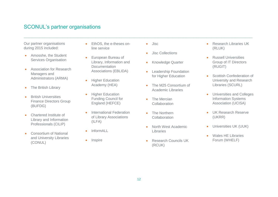# SCONUL's partner organisations

Our partner organisations during 2015 included:

- Amosshe, the Student Services Organisation
- **Association for Research** Managers and Administrators (ARMA)
- The British Library
- **•** British Universities Finance Directors Group (BUFDG)
- **Chartered Institute of** Library and Information Professionals (CILIP)
- Consortium of National and University Libraries (CONUL)
- EthOS, the e-theses online service
- European Bureau of Library, Information and Documentation Associations (EBLIDA)
- Higher Education Academy (HEA)
- **Higher Education** Funding Council for England (HEFCE)
- International Federation of Library Associations (ILFA)
- InformALL
- Inspire

• Jisc

- **•** Jisc Collections
- Knowledge Quarter
- **•** Leadership Foundation for Higher Education
- The M25 Consortium of Academic Libraries
- The Mercian **Collaboration**
- The Northern **Collaboration**
- North West Academic **Libraries**
- Research Councils UK (RCUK)
- Research Libraries UK (RLUK)
- **Russell Universities** Group of IT Directors (RUGIT)
- Scottish Confederation of University and Research Libraries (SCURL)
- Universities and Colleges Information Systems Association (UCISA)
- UK Research Reserve (UKRR)
- Universities UK (UUK)
- Wales HE Libraries Forum (WHELF)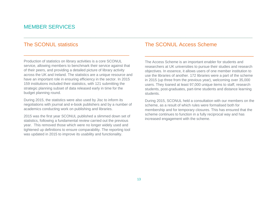# MEMBER SERVICES

# The SCONUL statistics

Production of statistics on library activities is a core SCONUL service, allowing members to benchmark their service against that of their peers, and providing a detailed picture of library activity across the UK and Ireland. The statistics are a unique resource and have an important role in ensuring efficiency in the sector. In 2015 159 institutions included their statistics, with 121 submitting the strategic planning subset of data released early in time for the budget planning round.

\_\_\_\_\_\_\_\_\_\_\_\_\_\_\_\_\_\_\_\_\_\_\_\_\_\_\_\_\_\_\_\_\_\_\_\_\_\_\_\_\_

During 2015, the statistics were also used by Jisc to inform its negotiations with journal and e-book publishers and by a number of academics conducting work on publishing and libraries.

2015 was the first year SCONUL published a slimmed down set of statistics, following a fundamental review carried out the previous year. This removed those which were no longer widely used and tightened up definitions to ensure comparability. The reporting tool was updated in 2015 to improve its usability and functionality.

## The SCONUL Access Scheme

The Access Scheme is an important enabler for students and researchers at UK universities to pursue their studies and research objectives. In essence, it allows users of one member institution to use the libraries of another. 172 libraries were a part of the scheme in 2015 (up three from the previous year), welcoming over 35,000 users. They loaned at least 97,000 unique items to staff, research students, post-graduates, part-time students and distance learning students.

\_\_\_\_\_\_\_\_\_\_\_\_\_\_\_\_\_\_\_\_\_\_\_\_\_\_\_\_\_\_\_\_\_\_\_\_\_

During 2015, SCONUL held a consultation with our members on the scheme, as a result of which rules were formalised both for membership and for temporary closures. This has ensured that the scheme continues to function in a fully reciprocal way and has increased engagement with the scheme.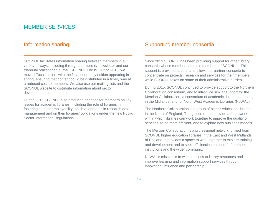# MEMBER SERVICES

## Information sharing

SCONUL facilitates information sharing between members in a variety of ways, including through our monthly newsletter and our triannual practitioner journal, SCONUL Focus. During 2015, we moved Focus online, with the first online-only edition appearing in spring, ensuring that content could be distributed in a timely way at a reduced cost to members. We also use our mailing lists and the SCONUL website to distribute information about sector developments to members.

\_\_\_\_\_\_\_\_\_\_\_\_\_\_\_\_\_\_\_\_\_\_\_\_\_\_\_\_\_\_\_\_\_\_\_\_\_\_\_\_\_\_

During 2015 SCONUL also produced briefings for members on key issues for academic libraries, including the role of libraries in fostering student employability; on developments in research data management and on their libraries' obligations under the new Public Sector Information Regulations.

## Supporting member consortia

Since 2013 SCONUL has been providing support for other library consortia whose members are also members of SCONUL. This support is provided at cost, and allows our partner consortia to concentrate on projects, research and services for their members while SCONUL takes on some of their administrative burden.

\_\_\_\_\_\_\_\_\_\_\_\_\_\_\_\_\_\_\_\_\_\_\_\_\_\_\_\_\_\_\_\_\_\_\_\_\_\_\_\_\_\_

During 2015, SCONUL continued to provide support to the Northern Collaboration consortium, and to introduce similar support for the Mercian Collaboration, a consortium of academic libraries operating in the Midlands, and for North West Academic Libraries (NoWAL).

The Northern Collaboration is a group of higher education libraries in the North of England. The group aims to provide a framework within which libraries can work together to improve the quality of services, to be more efficient, and to explore new business models.

The Mercian Collaboration is a professional network formed from SCONUL higher education libraries in the East and West Midlands of England. It provides a space to work together to explore training and development and to seek efficiencies on behalf of member institutions and the wider community.

NoWAL's mission is to widen access to library resources and improve learning and information support services through innovation, influence and partnership.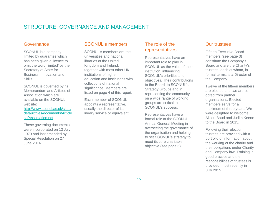# STRUCTURE, GOVERNANCE AND MANAGEMENT

#### Governance

SCONUL is a company limited by guarantee which has been given a licence to omit the word 'limited' by the Secretary of State for Business, Innovation and Skills.

SCONUL is governed by its Memorandum and Articles of Association which are available on the SCONUL website:

[http://www.sconul.ac.uk/sites/](http://www.sconul.ac.uk/sites/default/files/documents/ArticlesofAssociation.pdf) [default/files/documents/Article](http://www.sconul.ac.uk/sites/default/files/documents/ArticlesofAssociation.pdf) [sofAssociation.pdf](http://www.sconul.ac.uk/sites/default/files/documents/ArticlesofAssociation.pdf)

These governing documents were incorporated on 13 July 1979 and last amended by Special Resolution on 27 June 2014.

## SCONUL's members

SCONUL's members are the universities and national libraries of the United Kingdom and Ireland, together with most other UK institutions of higher education and institutions with collections of national significance. Members are listed on page 4 of this report.

Each member of SCONUL appoints a representative, usually the director of its library service or equivalent.

## The role of the representatives

\_\_\_\_\_\_\_\_\_\_\_\_\_\_\_\_\_\_\_\_\_\_\_\_\_\_\_\_\_\_\_\_\_\_\_\_\_\_\_\_\_\_\_\_\_\_\_\_\_\_\_\_\_\_\_\_\_\_\_\_\_\_\_\_\_\_\_\_\_\_\_\_\_\_\_\_\_\_\_\_\_\_\_\_\_\_\_\_\_

Representatives have an important role to play in SCONUL as the voice of their institution, influencing SCONUL's priorities and objectives. Their contributions to the Board, to SCONUL's Strategy Groups and in representing the community on a wide range of working groups are critical to SCONUL's success.

Representatives have a formal role at the SCONUL Annual General Meeting in overseeing the governance of the organisation and helping to set SCONUL's strategy to meet its core charitable objective (see page 6).

#### Our trustees

Fifteen Executive Board members (see page 3) constitute the Company's Board and are the Charity's trustees, each of whom, in formal terms, is a Director of the Company.

Twelve of the fifteen members are elected and two are coopted from partner organisations. Elected members serve for a maximum of three years. We were delighted to welcome Alison Baud and Judith Keene to the Board in 2015.

Following their election, trustees are provided with a portfolio of information about the working of the charity and their obligations under Charity and Company law. Training in good practice and the responsibilities of trustees is provided, most recently in July 2015.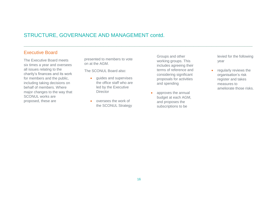## STRUCTURE, GOVERNANCE AND MANAGEMENT contd.

## Executive Board

The Executive Board meets six times a year and oversees all issues relating to the charity's finances and its work for members and the public, including taking decisions on behalf of members. Where major changes to the way that SCONUL works are proposed, these are

presented to members to vote on at the AGM.

The SCONUL Board also:

- **e** quides and supervises the office staff who are led by the Executive **Director**
- oversees the work of the SCONUL Strategy

Groups and other working groups. This includes agreeing their terms of reference and considering significant proposals for activities and spending

• approves the annual budget at each AGM, and proposes the subscriptions to be

levied for the following year

**•** regularly reviews the organisation's risk register and takes measures to ameliorate those risks.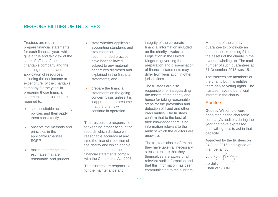## RESPONSIBILITIES OF TRUSTEES

Trustees are required to prepare financial statements for each financial year, which give a true and fair view of the state of affairs of the charitable company and the incoming resources and application of resources, including the net income or expenditure, of the charitable company for the year. In preparing those financial statements the trustees are required to:

- select suitable accounting policies and then apply them consistently
- observe the methods and principles in the applicable Charities **SORP**
- make judgements and estimates that are reasonable and prudent
- state whether applicable accounting standards and statements of recommended practice have been followed, subject to any material departures disclosed and explained in the financial statements, and
- prepare the financial statements on the going concern basis unless it is inappropriate to presume that the charity will continue in operation.

The trustees are responsible for keeping proper accounting records which disclose with reasonable accuracy at any time the financial position of the charity and which enable them to ensure that the financial statements comply with the Companies Act 2006.

The trustees are responsible for the maintenance and

integrity of the corporate financial information included on the charity's website. Legislation in the United Kingdom governing the preparation and dissemination of financial statements may differ from legislation in other jurisdictions.

The trustees are also responsible for safeguarding the assets of the charity and hence for taking reasonable steps for the prevention and detection of fraud and other irregularities. The trustees confirm that to the best of their knowledge there is no information relevant to the audit of which the auditors are unaware.

The trustees also confirm that they have taken all necessary steps to ensure that they themselves are aware of all relevant audit information and that this information has been communicated to the auditors. Members of the charity guarantee to contribute an amount not exceeding £1 to the assets of the charity in the event of winding up. The total number of such guarantees at 31 December 2015 was 15.

The trustees are members of the charity but this entitles them only to voting rights. The trustees have no beneficial interest in the charity.

#### Auditors

Godfrey Wilson Ltd were appointed as the charitable company's auditors during the year and have expressed their willingness to act in that capacity.

Approved by the trustees on 24 June 2016 and signed on their behalf by

Liz John Liz Jolly

Chair of SCONUL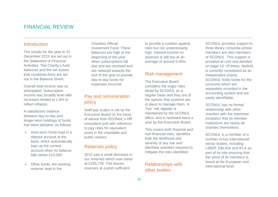# FINANCIAL REVIEW

#### Introduction

The results for the year to 31 December 2015 are set out in the Statement of Financial Activities. The Charity's fund balances and the net assets that constitute them are set out in the Balance Sheet.

Overall total income was as anticipated. Subscription income was broadly level with increases limited to 1.6% to reflect inflation.

A satisfactory balance between day-to-day and longer-term holdings of funds has been adopted, as follows:

- short-term funds kept in a deposit account at the bank, which automatically tops up the current account when its balance falls below £10,000
- Other funds, the working reserve, kept in the

Charities Official Investment Fund. These balances are high at the beginning of the year when subscriptions fall due and are received and are reduced towards the end of the year to provide day-to-day funds for expenses incurred.

## Pay and remuneration policy

Staff pay scales is set by the Executive Board on the basis of advice from SCONUL's HR consultant and with reference to pay rates for equivalent posts in the charitable and public sectors.

## Reserves policy

2015 saw a small decrease in our reserves which now stand at £255,778. This leaves reserves at a point sufficient

to provide a cushion against risks but not unnecessarily high. Interest income on reserves is still low at an average of around 0.45%.

#### Risk management

The Executive Board considers the major risks faced by SCONUL on a regular basis and they are of the opinion that systems are in place to manage them. A "live" risk register is maintained by the SCONUL office, and is reviewed twice a year by the Executive Board.

This covers both financial and non-financial risks; identifies both the likelihood and severity of any risk and identifies activities required to mitigate the risks identified.

## Relationships with other bodies

SCONUL provides support to three library consortia whose members are also members of SCONUL. This support is provided at cost and detailed on page 14. Of these, NoWAL is currently constituted as an independent charity. SCONUL holds funds for the consortia which are separately recorded in the accounting system and are easily identifiable.

SCONUL has no formal relationship with other charities with the important exception that its member institutions are nearly all charities themselves.

SCONUL is a member of a number of key international sector bodies, including LIBER, EBLIDA and IFLA as part of its role ensuring that the voice of its members is heard at the European and international level.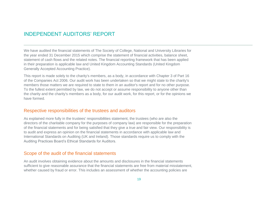# INDEPENDENT AUDITORS' REPORT

We have audited the financial statements of The Society of College, National and University Libraries for the year ended 31 December 2015 which comprise the statement of financial activities, balance sheet, statement of cash flows and the related notes. The financial reporting framework that has been applied in their preparation is applicable law and United Kingdom Accounting Standards (United Kingdom Generally Accepted Accounting Practice).

This report is made solely to the charity's members, as a body, in accordance with Chapter 3 of Part 16 of the Companies Act 2006. Our audit work has been undertaken so that we might state to the charity's members those matters we are required to state to them in an auditor's report and for no other purpose. To the fullest extent permitted by law, we do not accept or assume responsibility to anyone other than the charity and the charity's members as a body, for our audit work, for this report, or for the opinions we have formed.

#### Respective responsibilities of the trustees and auditors

As explained more fully in the trustees' responsibilities statement, the trustees (who are also the directors of the charitable company for the purposes of company law) are responsible for the preparation of the financial statements and for being satisfied that they give a true and fair view. Our responsibility is to audit and express an opinion on the financial statements in accordance with applicable law and International Standards on Auditing (UK and Ireland). Those standards require us to comply with the Auditing Practices Board's Ethical Standards for Auditors.

#### Scope of the audit of the financial statements

An audit involves obtaining evidence about the amounts and disclosures in the financial statements sufficient to give reasonable assurance that the financial statements are free from material misstatement, whether caused by fraud or error. This includes an assessment of whether the accounting policies are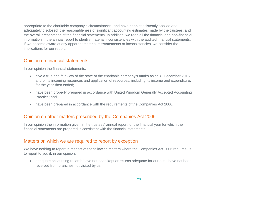appropriate to the charitable company's circumstances, and have been consistently applied and adequately disclosed, the reasonableness of significant accounting estimates made by the trustees, and the overall presentation of the financial statements. In addition, we read all the financial and non-financial information in the annual report to identify material inconsistencies with the audited financial statements. If we become aware of any apparent material misstatements or inconsistencies, we consider the implications for our report.

## Opinion on financial statements

In our opinion the financial statements:

- give a true and fair view of the state of the charitable company's affairs as at 31 December 2015 and of its incoming resources and application of resources, including its income and expenditure, for the year then ended;
- have been properly prepared in accordance with United Kingdom Generally Accepted Accounting Practice; and
- have been prepared in accordance with the requirements of the Companies Act 2006.

## Opinion on other matters prescribed by the Companies Act 2006

In our opinion the information given in the trustees' annual report for the financial year for which the financial statements are prepared is consistent with the financial statements.

## Matters on which we are required to report by exception

We have nothing to report in respect of the following matters where the Companies Act 2006 requires us to report to you if, in our opinion:

 adequate accounting records have not been kept or returns adequate for our audit have not been received from branches not visited by us;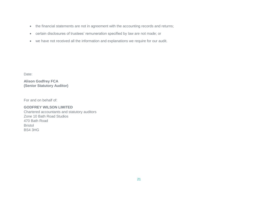- the financial statements are not in agreement with the accounting records and returns;
- certain disclosures of trustees' remuneration specified by law are not made; or
- we have not received all the information and explanations we require for our audit.

Date:

**Alison Godfrey FCA (Senior Statutory Auditor)**

For and on behalf of:

#### **GODFREY WILSON LIMITED**

Chartered accountants and statutory auditors Zone 10 Bath Road Studios 470 Bath Road Bristol BS4 3HG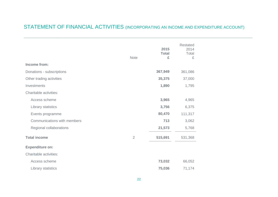# STATEMENT OF FINANCIAL ACTIVITIES (INCORPORATING AN INCOME AND EXPENDITURE ACCOUNT)

|                             | <b>Note</b>    | 2015<br><b>Total</b><br>£ | <b>Restated</b><br>2014<br>Total<br>£ |
|-----------------------------|----------------|---------------------------|---------------------------------------|
| Income from:                |                |                           |                                       |
| Donations - subscriptions   |                | 367,949                   | 361,086                               |
| Other trading activities    |                | 35,375                    | 37,000                                |
| Investments                 |                | 1,890                     | 1,795                                 |
| Charitable activities:      |                |                           |                                       |
| Access scheme               |                | 3,965                     | 4,965                                 |
| Library statistics          |                | 3,756                     | 6,375                                 |
| Events programme            |                | 80,470                    | 111,317                               |
| Communications with members |                | 713                       | 3,062                                 |
| Regional collaborations     |                | 21,573                    | 5,768                                 |
| <b>Total income</b>         | $\overline{2}$ | 515,691                   | 531,368                               |
| <b>Expenditure on:</b>      |                |                           |                                       |
| Charitable activities:      |                |                           |                                       |
| Access scheme               |                | 73,032                    | 66,052                                |
| Library statistics          |                | 75,036                    | 71,174                                |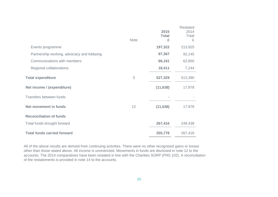|                                            | <b>Note</b> | 2015<br><b>Total</b><br>£ | <b>Restated</b><br>2014<br>Total<br>£ |
|--------------------------------------------|-------------|---------------------------|---------------------------------------|
| Events programme                           |             | 197,322                   | 213,925                               |
| Partnership working, advocacy and lobbying |             | 97,367                    | 92,145                                |
| Communications with members                |             | 66,161                    | 62,850                                |
| Regional collaborations                    |             | 18,411                    | 7,244                                 |
| <b>Total expenditure</b>                   | 3           | 527,329                   | 513,390                               |
| Net income / (expenditure)                 |             | (11, 638)                 | 17,978                                |
| Transfers between funds                    |             |                           |                                       |
| <b>Net movement in funds</b>               | 12          | (11, 638)                 | 17,978                                |
| <b>Reconciliation of funds</b>             |             |                           |                                       |
| Total funds brought forward                |             | 267,416                   | 249,438                               |
| <b>Total funds carried forward</b>         |             | 255,778                   | 267,416                               |

All of the above results are derived from continuing activities. There were no other recognised gains or losses other than those stated above. All income is unrestricted. Movements in funds are disclosed in note 12 to the accounts. The 2014 comparatives have been restated in line with the Charities SORP (FRS 102). A reconciliation of the restatements is provided in note 14 to the accounts.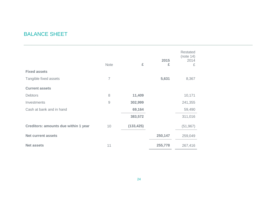# BALANCE SHEET

|                                             | <b>Note</b>    | £          | 2015<br>£ | Restated<br>(note 14)<br>2014<br>£ |
|---------------------------------------------|----------------|------------|-----------|------------------------------------|
| <b>Fixed assets</b>                         |                |            |           |                                    |
| Tangible fixed assets                       | $\overline{7}$ |            | 5,631     | 8,367                              |
| <b>Current assets</b>                       |                |            |           |                                    |
| <b>Debtors</b>                              | 8              | 11,409     |           | 10,171                             |
| Investments                                 | $\overline{9}$ | 302,999    |           | 241,355                            |
| Cash at bank and in hand                    |                | 69,164     |           | 59,490                             |
|                                             |                | 383,572    |           | 311,016                            |
| <b>Creditors: amounts due within 1 year</b> | 10             | (133, 425) |           | (51, 967)                          |
| <b>Net current assets</b>                   |                |            | 250,147   | 259,049                            |
| <b>Net assets</b>                           | 11             |            | 255,778   | 267,416                            |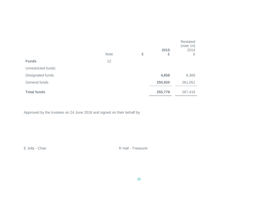|                     | <b>Note</b> | £ | 2015<br>£ | Restated<br>(note 14)<br>2014<br>£ |
|---------------------|-------------|---|-----------|------------------------------------|
| <b>Funds</b>        | 12          |   |           |                                    |
| Unrestricted funds: |             |   |           |                                    |
| Designated funds    |             |   | 4,858     | 6,365                              |
| General funds       |             |   | 250,920   | 261,051                            |
| <b>Total funds</b>  |             |   | 255,778   | 267,416                            |

Approved by the trustees on 24 June 2016 and signed on their behalf by

E Jolly - Chair R Hall - Treasurer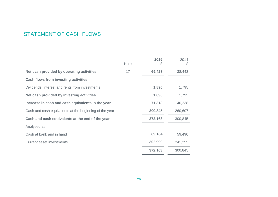# STATEMENT OF CASH FLOWS

|                                                        | <b>Note</b> | 2015<br>£ | 2014<br>£ |
|--------------------------------------------------------|-------------|-----------|-----------|
| Net cash provided by operating activities              | 17          | 69,428    | 38,443    |
| <b>Cash flows from investing activities:</b>           |             |           |           |
| Dividends, interest and rents from investments         |             | 1,890     | 1,795     |
| Net cash provided by investing activities              |             | 1,890     | 1,795     |
| Increase in cash and cash equivalents in the year      |             | 71,318    | 40,238    |
| Cash and cash equivalents at the beginning of the year |             | 300,845   | 260,607   |
| Cash and cash equivalents at the end of the year       |             | 372,163   | 300,845   |
| Analysed as:                                           |             |           |           |
| Cash at bank and in hand                               |             | 69,164    | 59,490    |
| <b>Current asset investments</b>                       |             | 302,999   | 241,355   |
|                                                        |             | 372,163   | 300,845   |

\_\_\_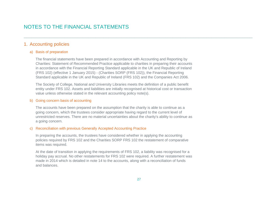# NOTES TO THE FINANCIAL STATEMENTS

#### 1. Accounting policies

#### a) Basis of preparation

The financial statements have been prepared in accordance with Accounting and Reporting by Charities: Statement of Recommended Practice applicable to charities in preparing their accounts in accordance with the Financial Reporting Standard applicable in the UK and Republic of Ireland (FRS 102) (effective 1 January 2015) - (Charities SORP (FRS 102)), the Financial Reporting Standard applicable in the UK and Republic of Ireland (FRS 102) and the Companies Act 2006.

The Society of College, National and University Libraries meets the definition of a public benefit entity under FRS 102. Assets and liabilities are initially recognised at historical cost or transaction value unless otherwise stated in the relevant accounting policy note(s).

#### b) Going concern basis of accounting

The accounts have been prepared on the assumption that the charity is able to continue as a going concern, which the trustees consider appropriate having regard to the current level of unrestricted reserves. There are no material uncertainties about the charity's ability to continue as a going concern.

#### c) Reconciliation with previous Generally Accepted Accounting Practice

In preparing the accounts, the trustees have considered whether in applying the accounting policies required by FRS 102 and the Charities SORP FRS 102 the restatement of comparative items was required.

At the date of transition in applying the requirements of FRS 102, a liability was recognised for a holiday pay accrual. No other restatements for FRS 102 were required. A further restatement was made in 2014 which is detailed in note 14 to the accounts, along with a reconciliation of funds and balances.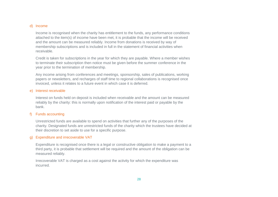#### d) Income

Income is recognised when the charity has entitlement to the funds, any performance conditions attached to the item(s) of income have been met, it is probable that the income will be received and the amount can be measured reliably. Income from donations is received by way of membership subscriptions and is included in full in the statement of financial activities when receivable.

Credit is taken for subscriptions in the year for which they are payable. Where a member wishes to terminate their subscription then notice must be given before the summer conference in the year prior to the termination of membership.

Any income arising from conferences and meetings, sponsorship, sales of publications, working papers or newsletters, and recharges of staff time to regional collaborations is recognised once invoiced, unless it relates to a future event in which case it is deferred.

#### e) Interest receivable

Interest on funds held on deposit is included when receivable and the amount can be measured reliably by the charity: this is normally upon notification of the interest paid or payable by the bank.

#### f) Funds accounting

Unrestricted funds are available to spend on activities that further any of the purposes of the charity. Designated funds are unrestricted funds of the charity which the trustees have decided at their discretion to set aside to use for a specific purpose.

#### g) Expenditure and irrecoverable VAT

Expenditure is recognised once there is a legal or constructive obligation to make a payment to a third party, it is probable that settlement will be required and the amount of the obligation can be measured reliably.

Irrecoverable VAT is charged as a cost against the activity for which the expenditure was incurred.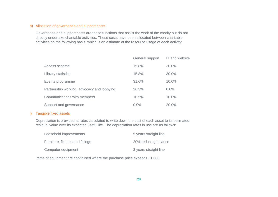#### h) Allocation of governance and support costs

Governance and support costs are those functions that assist the work of the charity but do not directly undertake charitable activities. These costs have been allocated between charitable activities on the following basis, which is an estimate of the resource usage of each activity:

|                                            | General support | IT and website |
|--------------------------------------------|-----------------|----------------|
| Access scheme                              | 15.8%           | 30.0%          |
| Library statistics                         | 15.8%           | 30.0%          |
| Events programme                           | 31.6%           | 10.0%          |
| Partnership working, advocacy and lobbying | 26.3%           | 0.0%           |
| Communications with members                | 10.5%           | 10.0%          |
| Support and governance                     | 0.0%            | 20.0%          |

#### i) Tangible fixed assets

Depreciation is provided at rates calculated to write down the cost of each asset to its estimated residual value over its expected useful life. The depreciation rates in use are as follows:

| Leasehold improvements           | 5 years straight line |
|----------------------------------|-----------------------|
| Furniture, fixtures and fittings | 20% reducing balance  |
| Computer equipment               | 3 years straight line |

Items of equipment are capitalised where the purchase price exceeds £1,000.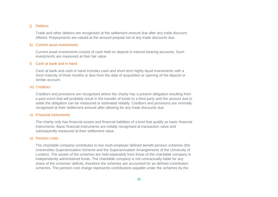#### j) Debtors

Trade and other debtors are recognised at the settlement amount due after any trade discount offered. Prepayments are valued at the amount prepaid net of any trade discounts due.

#### k) Current asset investments

Current asset investments consist of cash held on deposit in interest bearing accounts. Such investments are measured at their fair value.

#### l) Cash at bank and in hand

Cash at bank and cash in hand includes cash and short term highly liquid investments with a short maturity of three months or less from the date of acquisition or opening of the deposit or similar account.

#### m) Creditors

Creditors and provisions are recognised where the charity has a present obligation resulting from a past event that will probably result in the transfer of funds to a third party and the amount due to settle the obligation can be measured or estimated reliably. Creditors and provisions are normally recognised at their settlement amount after allowing for any trade discounts due.

#### n) Financial instruments

The charity only has financial assets and financial liabilities of a kind that qualify as basic financial instruments. Basic financial instruments are initially recognised at transaction value and subsequently measured at their settlement value.

#### o) Pension costs

The charitable company contributes to two multi-employer defined benefit pension schemes (the Universities Superannuation Scheme and the Superannuation Arrangements of the University of London). The assets of the schemes are held separately from those of the charitable company in independently administered funds. The charitable company is not contractually liable for any share of the schemes' deficits, therefore the schemes are accounted for as defined contribution schemes. The pension cost charge represents contributions payable under the schemes by the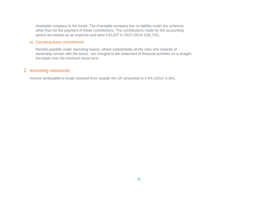charitable company to the funds. The charitable company has no liability under the schemes other than for the payment of those contributions. The contributions made for the accounting period are treated as an expense and were £32,007 in 2015 (2014: £28,715).

#### p) Operating lease commitments

Rentals payable under operating leases, where substantially all the risks and rewards of ownership remain with the lessor, are charged to the statement of financial activities on a straight line basis over the minimum lease term.

#### 2. Incoming resources

Income attributable to funds received from outside the UK amounted to 6.6% (2014: 6.3%).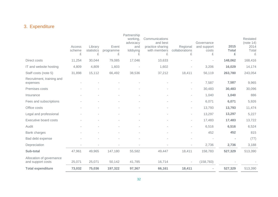# 3. Expenditure

|                                               | Access<br>scheme<br>£ | Library<br>statistics<br>£ | Event<br>programme<br>£ | Partnership<br>working,<br>advocacy<br>and<br>lobbying<br>£ | Communications<br>and best<br>practice sharing<br>with members<br>£ | Regional<br>collaborations<br>£ | Governance<br>and support<br>costs<br>£ | 2015<br><b>Total</b><br>£ | Restated<br>(note 14)<br>2014<br>Total<br>£ |
|-----------------------------------------------|-----------------------|----------------------------|-------------------------|-------------------------------------------------------------|---------------------------------------------------------------------|---------------------------------|-----------------------------------------|---------------------------|---------------------------------------------|
| Direct costs                                  | 11,254                | 30,044                     | 79,085                  | 17,046                                                      | 10,633                                                              |                                 |                                         | 148,062                   | 168,416                                     |
| IT and website hosting                        | 4,809                 | 4,809                      | 1,603                   |                                                             | 1,602                                                               |                                 | 3,206                                   | 16,029                    | 14,174                                      |
| Staff costs (note 5)                          | 31,898                | 15,112                     | 66,492                  | 38,536                                                      | 37,212                                                              | 18,411                          | 56,119                                  | 263,780                   | 243,054                                     |
| Recruitment, training and<br>expenses         |                       |                            |                         |                                                             |                                                                     | $\sim$                          | 7,587                                   | 7,587                     | 9,965                                       |
| Premises costs                                |                       |                            |                         |                                                             |                                                                     |                                 | 30,483                                  | 30,483                    | 30,096                                      |
| Insurance                                     |                       |                            |                         |                                                             |                                                                     |                                 | 1,040                                   | 1,040                     | 886                                         |
| Fees and subscriptions                        |                       |                            |                         |                                                             |                                                                     | $\sim$                          | 6,071                                   | 6,071                     | 5,926                                       |
| Office costs                                  |                       |                            |                         |                                                             |                                                                     | $\sim$                          | 13,793                                  | 13,793                    | 11,474                                      |
| Legal and professional                        |                       |                            |                         |                                                             |                                                                     |                                 | 13,297                                  | 13,297                    | 5,227                                       |
| <b>Executive board costs</b>                  |                       |                            |                         |                                                             |                                                                     |                                 | 17,483                                  | 17,483                    | 13,722                                      |
| Audit                                         |                       |                            |                         |                                                             |                                                                     | $\sim$                          | 6,516                                   | 6,516                     | 6,524                                       |
| Bank charges                                  |                       |                            |                         |                                                             |                                                                     |                                 | 452                                     | 452                       | 815                                         |
| Bad debt expense                              |                       |                            |                         |                                                             |                                                                     |                                 |                                         |                           | (77)                                        |
| Depreciation                                  |                       |                            |                         |                                                             |                                                                     |                                 | 2,736                                   | 2,736                     | 3,188                                       |
| Sub-total                                     | 47,961                | 49,965                     | 147,180                 | 55,582                                                      | 49,447                                                              | 18,411                          | 158,783                                 | 527,329                   | 513,390                                     |
| Allocation of governance<br>and support costs | 25,071                | 25,071                     | 50,142                  | 41,785                                                      | 16,714                                                              | $\overline{\phantom{a}}$        | (158, 783)                              |                           |                                             |
| <b>Total expenditure</b>                      | 73,032                | 75,036                     | 197,322                 | 97,367                                                      | 66,161                                                              | 18,411                          |                                         | 527,329                   | 513,390                                     |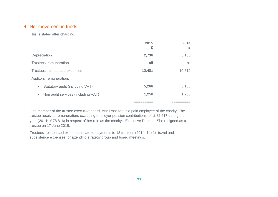## 4. Net movement in funds

This is stated after charging:

|                                                 | 2015<br>£ | 2014<br>£ |
|-------------------------------------------------|-----------|-----------|
| Depreciation                                    | 2,736     | 3,188     |
| Trustees' remuneration                          | nil       | nil       |
| Trustees' reimbursed expenses                   | 12,481    | 10,612    |
| Auditors' remuneration:                         |           |           |
| Statutory audit (including VAT)<br>$\bullet$    | 5,266     | 5,130     |
| Non audit services (including VAT)<br>$\bullet$ | 1,250     | 1,200     |
|                                                 |           |           |

One member of the trustee executive board, Ann Rossiter, is a paid employee of the charity. The trustee received remuneration, excluding employer pension contributions, of  $\text{\pounds}82,617$  during the year (2014: £78,816) in respect of her role as the charity's Executive Director. She resigned as a trustee on 17 June 2015.

Trustees' reimbursed expenses relate to payments to 18 trustees (2014: 14) for travel and subsistence expenses for attending strategy group and board meetings.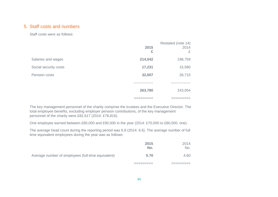## 5. Staff costs and numbers

Staff costs were as follows:

|                       | 2015<br>£              | Restated (note 14)<br>2014<br>£ |
|-----------------------|------------------------|---------------------------------|
| Salaries and wages    | 214,542                | 198,759                         |
| Social security costs | 17,231                 | 15,580                          |
| Pension costs         | 32,007                 | 28,715                          |
|                       | ---------------        | -------------                   |
|                       | 263,780                | 243,054                         |
|                       | ---------<br>--------- | ---------<br>_________          |

The key management personnel of the charity comprise the trustees and the Executive Director. The total employee benefits, excluding employer pension contributions, of the key management personnel of the charity were £82,617 (2014: £78,816).

One employee earned between £80,000 and £90,000 in the year (2014: £70,000 to £80,000: one).

The average head count during the reporting period was 6.8 (2014: 6.6). The average number of full time equivalent employees during the year was as follows:

|                                                    | 2015<br>No. | 2014<br>No. |
|----------------------------------------------------|-------------|-------------|
| Average number of employees (full-time equivalent) | 5.70        | 4.60        |
|                                                    |             |             |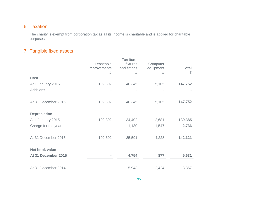## 6. Taxation

The charity is exempt from corporation tax as all its income is charitable and is applied for charitable purposes.

# 7. Tangible fixed assets

|                       | Leasehold<br>improvements<br>£ | Furniture,<br>fixtures<br>and fittings<br>£ | Computer<br>equipment<br>£ | <b>Total</b><br>£ |
|-----------------------|--------------------------------|---------------------------------------------|----------------------------|-------------------|
| <b>Cost</b>           |                                |                                             |                            |                   |
| At 1 January 2015     | 102,302                        | 40,345                                      | 5,105                      | 147,752           |
| <b>Additions</b>      |                                |                                             |                            |                   |
|                       |                                |                                             |                            |                   |
| At 31 December 2015   | 102,302                        | 40,345                                      | 5,105                      | 147,752           |
|                       |                                |                                             |                            |                   |
| <b>Depreciation</b>   |                                |                                             |                            |                   |
| At 1 January 2015     | 102,302                        | 34,402                                      | 2,681                      | 139,385           |
| Charge for the year   |                                | 1,189                                       | 1,547                      | 2,736             |
|                       |                                |                                             |                            |                   |
| At 31 December 2015   | 102,302                        | 35,591                                      | 4,228                      | 142,121           |
|                       |                                |                                             |                            |                   |
| <b>Net book value</b> |                                |                                             |                            |                   |
| At 31 December 2015   |                                | 4,754                                       | 877                        | 5,631             |
|                       |                                |                                             |                            |                   |
| At 31 December 2014   |                                | 5,943                                       | 2,424                      | 8,367             |
|                       |                                |                                             |                            |                   |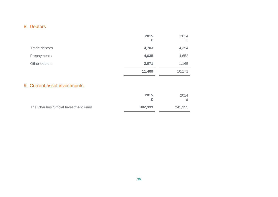# 8. Debtors

|               | 2015<br>£ | 2014<br>£ |
|---------------|-----------|-----------|
| Trade debtors | 4,703     | 4,354     |
| Prepayments   | 4,635     | 4,652     |
| Other debtors | 2,071     | 1,165     |
|               | 11,409    | 10,171    |

## 9. Current asset investments

|                                        | 2015    | 2014    |
|----------------------------------------|---------|---------|
| The Charities Official Investment Fund | 302,999 | 241,355 |

 $\equiv$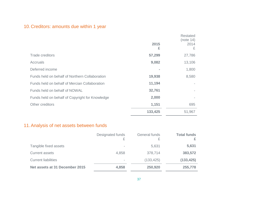# 10.Creditors: amounts due within 1 year

|                                                 | 2015<br>£ | <b>Restated</b><br>(note 14)<br>2014<br>£ |
|-------------------------------------------------|-----------|-------------------------------------------|
| Trade creditors                                 | 57,299    | 27,786                                    |
| Accruals                                        | 9,082     | 13,106                                    |
| Deferred income                                 |           | 1,800                                     |
| Funds held on behalf of Northern Collaboration  | 19,938    | 8,580                                     |
| Funds held on behalf of Mercian Collaboration   | 11,194    |                                           |
| Funds held on behalf of NOWAL                   | 32,761    |                                           |
| Funds held on behalf of Copyright for Knowledge | 2,000     |                                           |
| Other creditors                                 | 1,151     | 695                                       |
|                                                 | 133,425   | 51,967                                    |

# 11.Analysis of net assets between funds

|                                | Designated funds<br>£ | General funds<br>₽ | <b>Total funds</b><br>£ |
|--------------------------------|-----------------------|--------------------|-------------------------|
| Tangible fixed assets          | $\,$                  | 5,631              | 5,631                   |
| <b>Current assets</b>          | 4,858                 | 378,714            | 383,572                 |
| <b>Current liabilities</b>     | $\,$                  | (133, 425)         | (133, 425)              |
| Net assets at 31 December 2015 | 4,858                 | 250,920            | 255,778                 |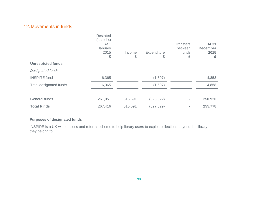## 12.Movements in funds

| (note 14)<br>At 1<br>January<br>2015<br>£ | Income<br>£              | Expenditure<br>£ | <b>Transfers</b><br>between<br>funds<br>£ | At 31<br><b>December</b><br>2015<br>£ |
|-------------------------------------------|--------------------------|------------------|-------------------------------------------|---------------------------------------|
|                                           |                          |                  |                                           |                                       |
|                                           |                          |                  |                                           |                                       |
| 6,365                                     | $\overline{\phantom{a}}$ | (1,507)          |                                           | 4,858                                 |
| 6,365                                     | ٠                        | (1,507)          |                                           | 4,858                                 |
|                                           |                          |                  |                                           |                                       |
| 261,051                                   | 515,691                  | (525, 822)       |                                           | 250,920                               |
| 267,416                                   | 515,691                  | (527, 329)       |                                           | 255,778                               |
|                                           |                          |                  |                                           |                                       |

#### **Purposes of designated funds**

INSPIRE is a UK-wide access and referral scheme to help library users to exploit collections beyond the library they belong to.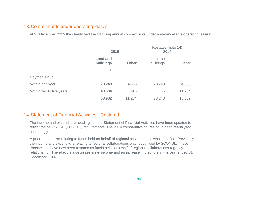### 13.Commitments under operating leases

At 31 December 2015 the charity had the following annual commitments under non-cancellable operating leases:

|                          | 2015                                         |        | Restated (note 14)<br>2014 |        |
|--------------------------|----------------------------------------------|--------|----------------------------|--------|
|                          | <b>Land and</b><br>buildings<br><b>Other</b> |        | Land and<br>buildings      | Other  |
|                          | £                                            | £      | £                          | £      |
| Payments due:            |                                              |        |                            |        |
| Within one year          | 23,248                                       | 4,368  | 23,248                     | 4,368  |
| Within two to five years | 40,684                                       | 6,916  |                            | 11,284 |
|                          | 63,932                                       | 11,284 | 23,248                     | 15,652 |

## 14.Statement of Financial Activities - Restated

The income and expenditure headings on the Statement of Financial Activities have been updated to reflect the new SORP (FRS 102) requirements. The 2014 comparative figures have been reanalysed accordingly.

A prior period error relating to funds held on behalf of regional collaborations was identified. Previously the income and expenditure relating to regional collaborations was recognised by SCONUL. These transactions have now been restated as funds held on behalf of regional collaborations (agency relationship). The effect is a decrease in net income and an increase in creditors in the year ended 31 December 2014.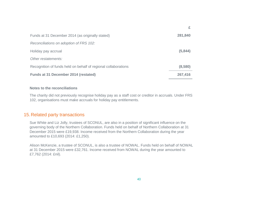| Funds at 31 December 2014 (as originally stated)               | 281,840 |
|----------------------------------------------------------------|---------|
| Reconciliations on adoption of FRS 102:                        |         |
| Holiday pay accrual                                            | (5,844) |
| Other restatements:                                            |         |
| Recognition of funds held on behalf of regional collaborations | (8,580) |
| Funds at 31 December 2014 (restated)                           | 267,416 |

#### **Notes to the reconciliations**

The charity did not previously recognise holiday pay as a staff cost or creditor in accruals. Under FRS 102, organisations must make accruals for holiday pay entitlements.

#### 15.Related party transactions

Sue White and Liz Jolly, trustees of SCONUL, are also in a position of significant influence on the governing body of the Northern Collaboration. Funds held on behalf of Northern Collaboration at 31 December 2015 were £19,938. Income received from the Northern Collaboration during the year amounted to £10,693 (2014: £1,250).

Alison McKenzie, a trustee of SCONUL, is also a trustee of NOWAL. Funds held on behalf of NOWAL at 31 December 2015 were £32,761. Income received from NOWAL during the year amounted to £7,762 (2014: £nil).

**£**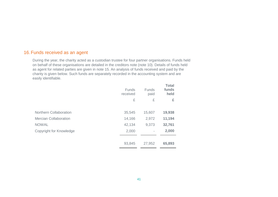## 16.Funds received as an agent

During the year, the charity acted as a custodian trustee for four partner organisations. Funds held on behalf of these organisations are detailed in the creditors note (note 10). Details of funds held as agent for related parties are given in note 15. An analysis of funds received and paid by the charity is given below. Such funds are separately recorded in the accounting system and are easily identifiable.

|                                | <b>Funds</b><br>received | <b>Funds</b><br>paid | <b>Total</b><br>funds<br>held |
|--------------------------------|--------------------------|----------------------|-------------------------------|
|                                | £                        | £                    | £                             |
|                                |                          |                      |                               |
| <b>Northern Collaboration</b>  | 35,545                   | 15,607               | 19,938                        |
| <b>Mercian Collaboration</b>   | 14,166                   | 2,972                | 11,194                        |
| <b>NOWAL</b>                   | 42,134                   | 9,373                | 32,761                        |
| <b>Copyright for Knowledge</b> | 2,000                    |                      | 2,000                         |
|                                |                          |                      |                               |
|                                | 93,845                   | 27,952               | 65,893                        |